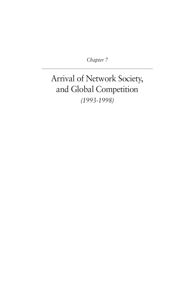*Chapter 7*

# Arrival of Network Society, and Global Competition *(1993-1998)*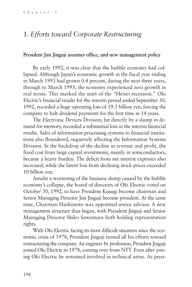# *1. Efforts toward Corporate Restructuring*

#### **President Jun Jinguji assumes office, and new management policy**

By early 1992, it was clear that the bubble economy had collapsed. Although Japan's economic growth in the fiscal year ending in March 1993 had grown 0.4 percent, during the next three years, through to March 1995, the economy experienced zero growth in real terms. This marked the start of the "Heisei recession." Oki Electric's financial results for the interim period ended September 30, 1992, recorded a huge operating loss of 19.3 billion yen, forcing the company to halt dividend payments for the first time in 14 years.

The Electronic Devices Division, hit directly by a slump in demand for memory, recorded a substantial loss in the interim financial results. Sales of information processing systems to financial institutions also floundered, negatively affecting the Information Systems Division. In the backdrop of the decline in revenue and profit, the fixed cost from large capital investments, mainly in semiconductors, became a heavy burden. The deficit from net interest expenses also increased, while the latent loss from declining stock prices exceeded 10 billion yen.

Amidst a worsening of the business slump caused by the bubble economy's collapse, the board of directors of Oki Electric voted on October 30, 1992, to have President Kosugi become chairman and Senior Managing Director Jun Jinguji become president. At the same time, Chairman Hashimoto was appointed senior advisor. A new management structure thus began, with President Jinguji and Senior Managing Director Shiko Sawamura both holding representation rights.

With Oki Electric facing its most difficult situation since the economic crisis of 1978, President Jinguji turned all his efforts toward restructuring the company. An engineer by profession, President Jinguji joined Oki Electric in 1978, coming over from NTT. Even after joining Oki Electric he remained involved in technical areas. As presi-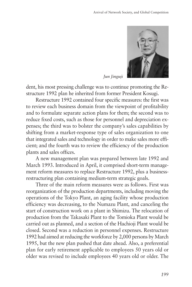

*Jun Jinguji*

dent, his most pressing challenge was to continue promoting the Restructure 1992 plan he inherited from former President Kosugi.

Restructure 1992 contained four specific measures: the first was to review each business domain from the viewpoint of profitability and to formulate separate action plans for them; the second was to reduce fixed costs, such as those for personnel and depreciation expenses; the third was to bolster the company's sales capabilities by shifting from a market-response type of sales organization to one that integrated sales and technology in order to make sales more efficient; and the fourth was to review the efficiency of the production plants and sales offices.

A new management plan was prepared between late 1992 and March 1993. Introduced in April, it comprised short-term management reform measures to replace Restructure 1992, plus a businessrestructuring plan containing medium-term strategic goals.

Three of the main reform measures were as follows. First was reorganization of the production departments, including moving the operations of the Tokyo Plant, an aging facility whose production efficiency was decreasing, to the Numazu Plant, and canceling the start of construction work on a plant in Shimizu. The relocation of production from the Takasaki Plant to the Tomioka Plant would be carried out as planned, and a section of the Hachioji Plant would be closed. Second was a reduction in personnel expenses. Restructure 1992 had aimed at reducing the workforce by 2,000 persons by March 1995, but the new plan pushed that date ahead. Also, a preferential plan for early retirement applicable to employees 50 years old or older was revised to include employees 40 years old or older. The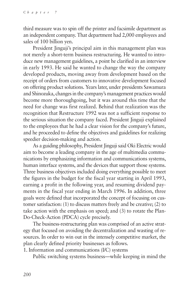third measure was to spin off the printer and facsimile department as an independent company. That department had 2,000 employees and sales of 100 billion yen.

President Jinguji's principal aim in this management plan was not merely a short-term business restructuring. He wanted to introduce new management guidelines, a point he clarified in an interview in early 1993. He said he wanted to change the way the company developed products, moving away from development based on the receipt of orders from customers to innovative development focused on offering product solutions. Years later, under presidents Sawamura and Shinozuka, changes in the company's management practices would become more thoroughgoing, but it was around this time that the need for change was first realized. Behind that realization was the recognition that Restructure 1992 was not a sufficient response to the serious situation the company faced. President Jinguji explained to the employees that he had a clear vision for the company's future, and he proceeded to define the objectives and guidelines for realizing speedier decision-making and action.

As a guiding philosophy, President Jinguji said Oki Electric would aim to become a leading company in the age of multimedia communications by emphasizing information and communications systems, human interface systems, and the devices that support those systems. Three business objectives included doing everything possible to meet the figures in the budget for the fiscal year starting in April 1993, earning a profit in the following year, and resuming dividend payments in the fiscal year ending in March 1996. In addition, three goals were defined that incorporated the concept of focusing on customer satisfaction: (1) to discuss matters freely and be creative; (2) to take action with the emphasis on speed; and (3) to rotate the Plan-Do-Check-Action (PDCA) cycle precisely.

The business-restructuring plan was comprised of an active strategy that focused on avoiding the decentralization and wasting of resources. In order to win out in the intensely competitive market, the plan clearly defined priority businesses as follows.

1. Information and communications (I/C) systems

Public switching systems business—while keeping in mind the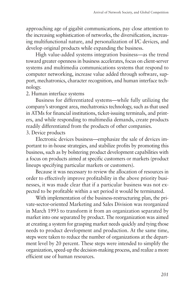approaching age of gigabit communications, pay close attention to the increasing sophistication of networks, the diversification, increasing multifunctional nature, and personalization of I/C devices, and develop original products while expanding the business.

High value-added systems integration business—as the trend toward greater openness in business accelerates, focus on client-server systems and multimedia communications systems that respond to computer networking, increase value added through software, support, mechatronics, character recognition, and human interface technology.

#### 2. Human interface systems

Business for differentiated systems—while fully utilizing the company's strongest area, mechatronics technology, such as that used in ATMs for financial institutions, ticket-issuing terminals, and printers, and while responding to multimedia demands, create products readily differentiated from the products of other companies.

3. Device products

Electronic devices business—emphasize the sale of devices important to in-house strategies, and stabilize profits by promoting this business, such as by bolstering product development capabilities with a focus on products aimed at specific customers or markets (product lineups specifying particular markets or customers).

Because it was necessary to review the allocation of resources in order to effectively improve profitability in the above priority businesses, it was made clear that if a particular business was not expected to be profitable within a set period it would be terminated.

With implementation of the business-restructuring plan, the private-sector-oriented Marketing and Sales Division was reorganized in March 1993 to transform it from an organization separated by market into one separated by product. The reorganization was aimed at creating a system for grasping market needs quickly and tying those needs to product development and production. At the same time, steps were taken to reduce the number of organizations at the department level by 20 percent. These steps were intended to simplify the organization, speed-up the decision-making process, and realize a more efficient use of human resources.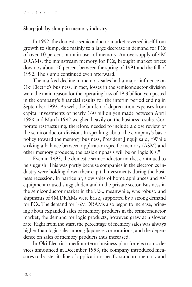#### **Sharp jolt by slump in memory industry**

In 1992, the domestic semiconductor market reversed itself from growth to slump, due mainly to a large decrease in demand for PCs of over 10 percent, a main user of memory. An oversupply of 4M DRAMs, the mainstream memory for PCs, brought market prices down by about 50 percent between the spring of 1991 and the fall of 1992. The slump continued even afterward.

The marked decline in memory sales had a major influence on Oki Electric's business. In fact, losses in the semiconductor division were the main reason for the operating loss of 19.3 billion yen posted in the company's financial results for the interim period ending in September 1992. As well, the burden of depreciation expenses from capital investments of nearly 160 billion yen made between April 1988 and March 1992 weighed heavily on the business results. Corporate restructuring, therefore, needed to include a close review of the semiconductor division. In speaking about the company's basic policy toward the memory business, President Jinguji said, "While striking a balance between application specific memory (ASM) and other memory products, the basic emphasis will be on logic ICs."

Even in 1993, the domestic semiconductor market continued to be sluggish. This was partly because companies in the electronics industry were holding down their capital investments during the business recession. In particular, slow sales of home appliances and AV equipment caused sluggish demand in the private sector. Business in the semiconductor market in the U.S., meanwhile, was robust, and shipments of 4M DRAMs were brisk, supported by a strong demand for PCs. The demand for 16M DRAMs also began to increase, bringing about expanded sales of memory products in the semiconductor market; the demand for logic products, however, grew at a slower rate. Right from the start, the percentage of memory sales was always higher than logic sales among Japanese corporations, and the dependence on sales of memory products thus increased.

In Oki Electric's medium-term business plan for electronic devices announced in December 1993, the company introduced measures to bolster its line of application-specific standard memory and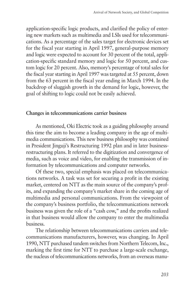application-specific logic products, and clarified the policy of entering new markets such as multimedia and LSIs used for telecommunications. As a percentage of the sales target for electronic devices set for the fiscal year starting in April 1997, general-purpose memory and logic were expected to account for 30 percent of the total, application-specific standard memory and logic for 50 percent, and custom logic for 20 percent. Also, memory's percentage of total sales for the fiscal year starting in April 1997 was targeted at 55 percent, down from the 63 percent in the fiscal year ending in March 1994. In the backdrop of sluggish growth in the demand for logic, however, the goal of shifting to logic could not be easily achieved.

#### **Changes in telecommunications carrier business**

As mentioned, Oki Electric took as a guiding philosophy around this time the aim to become a leading company in the age of multimedia communications. This new business philosophy was contained in President Jinguji's Restructuring 1992 plan and in later businessrestructuring plans. It referred to the digitization and convergence of media, such as voice and video, for enabling the transmission of information by telecommunications and computer networks.

Of these two, special emphasis was placed on telecommunications networks. A task was set for securing a profit in the existing market, centered on NTT as the main source of the company's profits, and expanding the company's market share in the coming age of multimedia and personal communications. From the viewpoint of the company's business portfolio, the telecommunications network business was given the role of a "cash cow," and the profits realized in that business would allow the company to enter the multimedia business.

The relationship between telecommunications carriers and telecommunications manufacturers, however, was changing. In April 1990, NTT purchased tandem switches from Northern Telecom, Inc., marking the first time for NTT to purchase a large-scale exchange, the nucleus of telecommunications networks, from an overseas manu-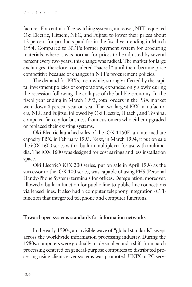facturer. For central office switching systems, moreover, NTT requested Oki Electric, Hitachi, NEC, and Fujitsu to lower their prices about 12 percent for products paid for in the fiscal year ending in March 1994. Compared to NTT's former payment system for procuring materials, where it was normal for prices to be adjusted by several percent every two years, this change was radical. The market for large exchanges, therefore, considered "sacred" until then, became price competitive because of changes in NTT's procurement policies.

The demand for PBXs, meanwhile, strongly affected by the capital investment policies of corporations, expanded only slowly during the recession following the collapse of the bubble economy. In the fiscal year ending in March 1993, total orders in the PBX market were down 8 percent year-on-year. The two largest PBX manufacturers, NEC and Fujitsu, followed by Oki Electric, Hitachi, and Toshiba, competed fiercely for business from customers who either upgraded or replaced their existing systems.

Oki Electric launched sales of the iOX 1150E, an intermediate capacity PBX, in February 1993. Next, in March 1994, it put on sale the iOX 1600 series with a built-in multiplexer for use with multimedia. The iOX 1600 was designed for cost savings and less installation space.

Oki Electric's iOX 200 series, put on sale in April 1996 as the successor to the iOX 100 series, was capable of using PHS (Personal Handy-Phone System) terminals for offices. Deregulation, moreover, allowed a built-in function for public-line-to-public-line connections via leased lines. It also had a computer telephony integration (CTI) function that integrated telephone and computer functions.

#### **Toward open systems standards for information networks**

In the early 1990s, an invisible wave of "global standards" swept across the worldwide information processing industry. During the 1980s, computers were gradually made smaller and a shift from batch processing centered on general-purpose computers to distributed processing using client-server systems was promoted. UNIX or PC serv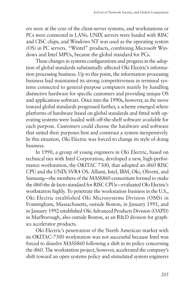ers were at the core of the client-server systems, and workstations or PCs were connected in LANs. UNIX servers were loaded with RISC and CISC chips, and Windows NT was used as the operating system (OS) in PC servers. "Wintel" products, combining Microsoft Windows and Intel MPUs, became the global standard for PCs.

These changes in systems configurations and progress in the adoption of global standards substantially affected Oki Electric's information processing business. Up to this point, the information processing business had maintained its strong competitiveness in terminal systems connected to general-purpose computers mainly by handling distinctive hardware for specific customers and providing unique OS and applications software. Once into the 1990s, however, as the move toward global standards progressed further, a scheme emerged where platforms of hardware based on global standards and fitted with operating systems were loaded with off-the-shelf software available for each purpose. Customers could choose the hardware and software that suited their purposes best and construct a system inexpensively. In this situation, Oki Electric was forced to change its style of doing business.

In 1990, a group of young engineers in Oki Electric, based on technical ties with Intel Corporation, developed a new, high-performance workstation, the OKITAC 7300, that adopted an i860 RISC CPU and the UNIX SVR4 OS. Alliant, Intel, IBM, Oki, Olivetti, and Samsung—the members of the MASS860 consortium formed to make the i860 the de facto standard for RISC CPUs—evaluated Oki Electric's workstation highly. To penetrate the workstation business in the U.S., Oki Electric established Oki Microsystems Division (OMS) in Framingham, Massachusetts, outside Boston, in January 1991, and in January 1992 established Oki Advanced Products Division (OAPD) in Marlborough, also outside Boston, as an R&D division for graphics accelerator products.

Oki Electric's penetration of the North American market with its OKITAC-7300 workstation was not successful because Intel was forced to dissolve MASS860 following a shift in its policy concerning the i860. The workstation project, however, accelerated the company's shift toward an open systems policy and stimulated system engineers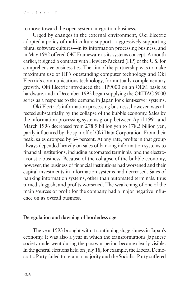to move toward the open system integration business.

Urged by changes in the external environment, Oki Electric adopted a policy of multi-culture support—aggressively supporting plural software cultures—in its information processing business, and in May 1992 offered OKI Frameware as its systems concept. A month earlier, it signed a contract with Hewlett-Packard (HP) of the U.S. for comprehensive business ties. The aim of the partnership was to make maximum use of HP's outstanding computer technology and Oki Electric's communications technology, for mutually complementary growth. Oki Electric introduced the HP9000 on an OEM basis as hardware, and in December 1992 began supplying the OKITAC-9000 series as a response to the demand in Japan for client-server systems.

Oki Electric's information processing business, however, was affected substantially by the collapse of the bubble economy. Sales by the information processing systems group between April 1991 and March 1996 decreased from 278.9 billion yen to 178.5 billion yen, partly influenced by the spin-off of Oki Data Corporation. From their peak, sales dropped by 64 percent. At any rate, profits in that group always depended heavily on sales of banking information systems to financial institutions, including automated terminals, and the electroacoustic business. Because of the collapse of the bubble economy, however, the business of financial institutions had worsened and their capital investments in information systems had decreased. Sales of banking information systems, other than automated terminals, thus turned sluggish, and profits worsened. The weakening of one of the main sources of profit for the company had a major negative influence on its overall business.

#### **Deregulation and dawning of borderless age**

The year 1993 brought with it continuing sluggishness in Japan's economy. It was also a year in which the transformations Japanese society underwent during the postwar period became clearly visible. In the general elections held on July 18, for example, the Liberal Democratic Party failed to retain a majority and the Socialist Party suffered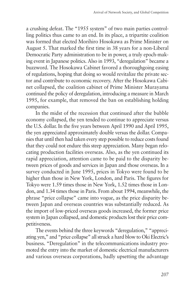a crushing defeat. The "1955 system" of two main parties controlling politics thus came to an end. In its place, a tripartite coalition was formed that elected Morihiro Hosokawa as Prime Minister on August 5. That marked the first time in 38 years for a non-Liberal Democratic Party administration to be in power, a truly epoch-making event in Japanese politics. Also in 1993, "deregulation" became a buzzword. The Hosokawa Cabinet favored a thoroughgoing easing of regulations, hoping that doing so would revitalize the private sector and contribute to economic recovery. After the Hosokawa Cabinet collapsed, the coalition cabinet of Prime Minister Murayama continued the policy of deregulation, introducing a measure in March 1995, for example, that removed the ban on establishing holding companies.

In the midst of the recession that continued after the bubble economy collapsed, the yen tended to continue to appreciate versus the U.S. dollar. In the five years between April 1990 and April 1995, the yen appreciated approximately double versus the dollar. Companies that until then had taken every step possible to reduce costs found that they could not endure this steep appreciation. Many began relocating production facilities overseas. Also, as the yen continued its rapid appreciation, attention came to be paid to the disparity between prices of goods and services in Japan and those overseas. In a survey conducted in June 1995, prices in Tokyo were found to be higher than those in New York, London, and Paris. The figures for Tokyo were 1.59 times those in New York, 1.52 times those in London, and 1.34 times those in Paris. From about 1994, meanwhile, the phrase "price collapse" came into vogue, as the price disparity between Japan and overseas countries was substantially reduced. As the import of low-priced overseas goods increased, the former price system in Japan collapsed, and domestic products lost their price competitiveness.

The events behind the three keywords "deregulation," "appreciating yen," and "price collapse" all struck a hard blow to Oki Electric's business. "Deregulation" in the telecommunications industry promoted the entry into the market of domestic electrical manufacturers and various overseas corporations, badly upsetting the advantage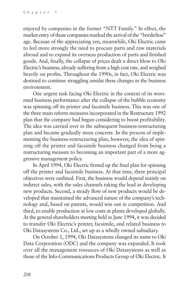enjoyed by companies in the former "NTT Family." In effect, the market entry of those companies marked the arrival of the "borderless" age. Because of the appreciating yen, meanwhile, Oki Electric came to feel more strongly the need to procure parts and raw materials abroad and to expand its overseas production of parts and finished goods. And, finally, the collapse of prices dealt a direct blow to Oki Electric's business, already suffering from a high cost rate, and weighed heavily on profits. Throughout the 1990s, in fact, Oki Electric was destined to continue struggling amidst these changes in the business environment.

One urgent task facing Oki Electric in the context of its worsened business performance after the collapse of the bubble economy was spinning off its printer and facsimile business. This was one of the three main reform measures incorporated in the Restructure 1992 plan that the company had begun considering to boost profitability. The idea was carried over in the subsequent business-restructuring plan and became gradually more concrete. In the process of implementing the business-restructuring plan, however, the idea of spinning off the printer and facsimile business changed from being a restructuring measure to becoming an important part of a more aggressive management policy.

In April 1994, Oki Electric firmed up the final plan for spinning off the printer and facsimile business. At that time, three principal objectives were outlined. First, the business would depend mainly on indirect sales, with the sales channels taking the lead in developing new products. Second, a steady flow of new products would be developed that maintained the advanced nature of the company's technology and, based on patents, would win out in competition. And third, to enable production at low costs at plants developed globally. At the general shareholders meeting held in June 1994, it was decided to transfer Oki Electric's printer, facsimile, and related business to Oki Datasystems Co., Ltd., set up as a wholly owned subsidiary.

On October 1, 1994, Oki Datasystems changed its name to Oki Data Corporation (ODC) and the company was expanded. It took over all the management resources of Oki Datasystems as well as those of the Info-Communications Products Group of Oki Electric. It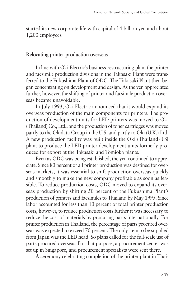started its new corporate life with capital of 4 billion yen and about 1,200 employees.

#### **Relocating printer production overseas**

In line with Oki Electric's business-restructuring plan, the printer and facsimile production divisions in the Takasaki Plant were transferred to the Fukushima Plant of ODC. The Takasaki Plant then began concentrating on development and design. As the yen appreciated further, however, the shifting of printer and facsimile production overseas became unavoidable.

In July 1993, Oki Electric announced that it would expand its overseas production of the main components for printers. The production of development units for LED printers was moved to Oki (Thailand) Co., Ltd., and the production of toner cartridges was moved partly to the Okidata Group in the U.S. and partly to Oki (U.K.) Ltd. A new production facility was built inside the Oki (Thailand) LSI plant to produce the LED printer development units formerly produced for export at the Takasaki and Tomioka plants.

Even as ODC was being established, the yen continued to appreciate. Since 80 percent of all printer production was destined for overseas markets, it was essential to shift production overseas quickly and smoothly to make the new company profitable as soon as feasible. To reduce production costs, ODC moved to expand its overseas production by shifting 50 percent of the Fukushima Plant's production of printers and facsimiles to Thailand by May 1995. Since labor accounted for less than 10 percent of total printer production costs, however, to reduce production costs further it was necessary to reduce the cost of materials by procuring parts internationally. For printer production in Thailand, the percentage of parts procured overseas was expected to exceed 70 percent. The only item to be supplied from Japan was the LED head. So plans called for the full-scale use of parts procured overseas. For that purpose, a procurement center was set up in Singapore, and procurement specialists were sent there.

A ceremony celebrating completion of the printer plant in Thai-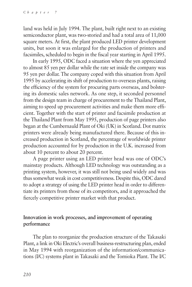land was held in July 1994. The plant, built right next to an existing semiconductor plant, was two-storied and had a total area of 11,000 square meters. At first, the plant produced LED printer development units, but soon it was enlarged for the production of printers and facsimiles, scheduled to begin in the fiscal year starting in April 1995.

In early 1995, ODC faced a situation where the yen appreciated to almost 85 yen per dollar while the rate set inside the company was 95 yen per dollar. The company coped with this situation from April 1995 by accelerating its shift of production to overseas plants, raising the efficiency of the system for procuring parts overseas, and bolstering its domestic sales network. As one step, it seconded personnel from the design team in charge of procurement to the Thailand Plant, aiming to speed up procurement activities and make them more efficient. Together with the start of printer and facsimile production at the Thailand Plant from May 1995, production of page printers also began at the Cumbernauld Plant of Oki (UK) in Scotland. Dot matrix printers were already being manufactured there. Because of this increased production in Scotland, the percentage of worldwide printer production accounted for by production in the U.K. increased from about 10 percent to about 20 percent.

A page printer using an LED printer head was one of ODC's mainstay products. Although LED technology was outstanding as a printing system, however, it was still not being used widely and was thus somewhat weak in cost competitiveness. Despite this, ODC dared to adopt a strategy of using the LED printer head in order to differentiate its printers from those of its competitors, and it approached the fiercely competitive printer market with that product.

### **Innovation in work processes, and improvement of operating performance**

The plan to reorganize the production structure of the Takasaki Plant, a link in Oki Electric's overall business-restructuring plan, ended in May 1994 with reorganization of the information/communications (I/C) systems plant in Takasaki and the Tomioka Plant. The I/C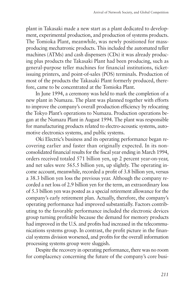plant in Takasaki made a new start as a plant dedicated to development, experimental production, and production of systems products. The Tomioka Plant, meanwhile, was newly positioned for massproducing mechatronic products. This included the automated teller machines (ATMs) and cash dispensers (CDs) it was already producing plus products the Takasaki Plant had been producing, such as general-purpose teller machines for financial institutions, ticketissuing printers, and point-of-sales (POS) terminals. Production of most of the products the Takasaki Plant formerly produced, therefore, came to be concentrated at the Tomioka Plant.

In June 1994, a ceremony was held to mark the completion of a new plant in Numazu. The plant was planned together with efforts to improve the company's overall production efficiency by relocating the Tokyo Plant's operations to Numazu. Production operations began at the Numazu Plant in August 1994. The plant was responsible for manufacturing products related to electro-acoustic systems, automotive electronics systems, and public systems.

Oki Electric's business and its operating performance began recovering earlier and faster than originally expected. In its nonconsolidated financial results for the fiscal year ending in March 1994, orders received totaled 571 billion yen, up 2 percent year-on-year, and net sales were 565.5 billion yen, up slightly. The operating income account, meanwhile, recorded a profit of 3.8 billion yen, versus a 38.3 billion yen loss the previous year. Although the company recorded a net loss of 2.9 billion yen for the term, an extraordinary loss of 5.3 billion yen was posted as a special retirement allowance for the company's early retirement plan. Actually, therefore, the company's operating performance had improved substantially. Factors contributing to the favorable performance included the electronic devices group turning profitable because the demand for memory products had improved in the U.S. and profits had increased in the telecommunications systems group. In contrast, the profit picture in the financial systems division worsened, and profits for the overall information processing systems group were sluggish.

Despite the recovery in operating performance, there was no room for complacency concerning the future of the company's core busi-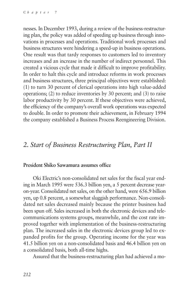nesses. In December 1993, during a review of the business-restructuring plan, the policy was added of speeding up business through innovations in processes and operations. Traditional work processes and business structures were hindering a speed-up in business operations. One result was that tardy responses to customers led to inventory increases and an increase in the number of indirect personnel. This created a vicious cycle that made it difficult to improve profitability. In order to halt this cycle and introduce reforms in work processes and business structures, three principal objectives were established: (1) to turn 30 percent of clerical operations into high value-added operations; (2) to reduce inventories by 30 percent; and (3) to raise labor productivity by 30 percent. If these objectives were achieved, the efficiency of the company's overall work operations was expected to double. In order to promote their achievement, in February 1994 the company established a Business Process Reengineering Division.

# *2. Start of Business Restructuring Plan, Part II*

#### **President Shiko Sawamura assumes office**

Oki Electric's non-consolidated net sales for the fiscal year ending in March 1995 were 536.3 billion yen, a 5 percent decrease yearon-year. Consolidated net sales, on the other hand, were 656.9 billion yen, up 0.8 percent, a somewhat sluggish performance. Non-consolidated net sales decreased mainly because the printer business had been spun off. Sales increased in both the electronic devices and telecommunications systems groups, meanwhile, and the cost rate improved together with implementation of the business-restructuring plan. The increased sales in the electronic devices group led to expanded profits for the group. Operating income for the year was 41.5 billion yen on a non-consolidated basis and 46.4 billion yen on a consolidated basis, both all-time highs.

Assured that the business-restructuring plan had achieved a mo-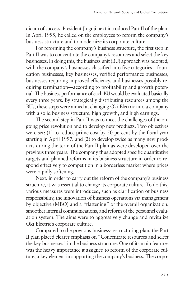dicum of success, President Jinguji next introduced Part II of the plan. In April 1995, he called on the employees to reform the company's business structure and to modernize its corporate culture.

For reforming the company's business structure, the first step in Part II was to concentrate the company's resources and select the key businesses. In doing this, the business unit (BU) approach was adopted, with the company's businesses classified into five categories—foundation businesses, key businesses, verified performance businesses, businesses requiring improved efficiency, and businesses possibly requiring termination—according to profitability and growth potential. The business performance of each BU would be evaluated basically every three years. By strategically distributing resources among the BUs, these steps were aimed at changing Oki Electric into a company with a solid business structure, high growth, and high earnings.

The second step in Part II was to meet the challenges of the ongoing price revolution and to develop new products. Two objectives were set: (1) to reduce prime cost by 50 percent by the fiscal year starting in April 1997; and (2) to develop twice as many new products during the term of the Part II plan as were developed over the previous three years. The company thus adopted specific quantitative targets and planned reforms in its business structure in order to respond effectively to competition in a borderless market where prices were rapidly softening.

Next, in order to carry out the reform of the company's business structure, it was essential to change its corporate culture. To do this, various measures were introduced, such as clarification of business responsibility, the innovation of business operations via management by objective (MBO) and a "flattening" of the overall organization, smoother internal communications, and reform of the personnel evaluation system. The aims were to aggressively change and revitalize Oki Electric's corporate culture.

Compared to the previous business-restructuring plan, the Part II plan placed clearer emphasis on "Concentrate resources and select the key businesses" in the business structure. One of its main features was the heavy importance it assigned to reform of the corporate culture, a key element in supporting the company's business. The corpo-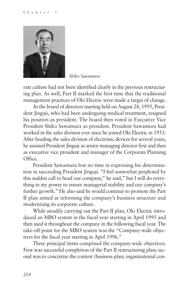

*Shiko Sawamura*

rate culture had not been identified clearly in the previous restructuring plan. As well, Part II marked the first time that the traditional management practices of Oki Electric were made a target of change.

At the board of directors meeting held on August 28, 1995, President Jinguji, who had been undergoing medical treatment, resigned his position as president. The board then voted in Executive Vice President Shiko Sawamura as president. President Sawamura had worked in the sales division ever since he joined Oki Electric in 1953. After heading the sales division of electronic devices for several years, he assisted President Jinguji as senior managing director first and then as executive vice president and manager of the Corporate Planning Office.

President Sawamura lost no time in expressing his determination in succeeding President Jinguji. "I feel somewhat perplexed by this sudden call to head our company," he said," but I will do everything in my power to ensure managerial stability and our company's further growth." He also said he would continue to promote the Part II plan aimed at reforming the company's business structure and modernizing its corporate culture.

While steadily carrying out the Part II plan, Oki Electric introduced an MBO system in the fiscal year starting in April 1995 and then used it throughout the company in the following fiscal year. The take-off point for the MBO system was the "Company-wide objectives for the fiscal year starting in April 1996."

Three principal items comprised the company-wide objectives. First was successful completion of the Part II restructuring plan; second was to concretize the content (business plan; organizational con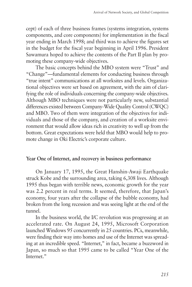cept) of each of three business frames (systems integration, systems components, and core components) for implementation in the fiscal year ending in March 1998; and third was to achieve the figures set in the budget for the fiscal year beginning in April 1996. President Sawamura hoped to achieve the contents of the Part II plan by promoting these company-wide objectives.

The basic concepts behind the MBO system were "Trust" and "Change"—fundamental elements for conducting business through "true intent" communications at all worksites and levels. Organizational objectives were set based on agreement, with the aim of clarifying the role of individuals concerning the company-wide objectives. Although MBO techniques were not particularly new, substantial differences existed between Company-Wide Quality Control (CWQC) and MBO. Two of them were integration of the objectives for individuals and those of the company, and creation of a worksite environment that would allow ideas rich in creativity to well up from the bottom. Great expectations were held that MBO would help to promote change in Oki Electric's corporate culture.

#### **Year One of Internet, and recovery in business performance**

On January 17, 1995, the Great Hanshin-Awaji Earthquake struck Kobe and the surrounding area, taking 6,308 lives. Although 1995 thus began with terrible news, economic growth for the year was 2.2 percent in real terms. It seemed, therefore, that Japan's economy, four years after the collapse of the bubble economy, had broken from the long recession and was seeing light at the end of the tunnel.

In the business world, the I/C revolution was progressing at an accelerated rate. On August 24, 1995, Microsoft Corporation launched Windows 95 concurrently in 25 countries. PCs, meanwhile, were finding their way into homes and use of the Internet was spreading at an incredible speed. "Internet," in fact, became a buzzword in Japan, so much so that 1995 came to be called "Year One of the Internet."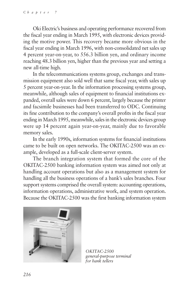Oki Electric's business and operating performance recovered from the fiscal year ending in March 1995, with electronic devices providing the motive power. This recovery became more obvious in the fiscal year ending in March 1996, with non-consolidated net sales up 4 percent year-on-year, to 556.3 billion yen, and ordinary income reaching 48.3 billion yen, higher than the previous year and setting a new all-time high.

In the telecommunications systems group, exchanges and transmission equipment also sold well that same fiscal year, with sales up 5 percent year-on-year. In the information processing systems group, meanwhile, although sales of equipment to financial institutions expanded, overall sales were down 6 percent, largely because the printer and facsimile businesses had been transferred to ODC. Continuing its fine contribution to the company's overall profits in the fiscal year ending in March 1995, meanwhile, sales in the electronic devices group were up 14 percent again year-on-year, mainly due to favorable memory sales.

In the early 1990s, information systems for financial institutions came to be built on open networks. The OKITAC-2500 was an example, developed as a full-scale client-server system.

The branch integration system that formed the core of the OKITAC-2500 banking information system was aimed not only at handling account operations but also as a management system for handling all the business operations of a bank's sales branches. Four support systems comprised the overall system: accounting operations, information operations, administrative work, and system operation. Because the OKITAC-2500 was the first banking information system



*OKITAC-2500 general-purpose terminal for bank tellers*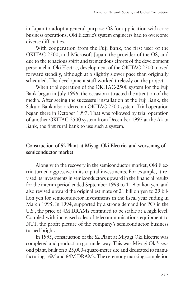in Japan to adopt a general-purpose OS for application with core business operations, Oki Electric's system engineers had to overcome diverse difficulties.

With cooperation from the Fuji Bank, the first user of the OKITAC-2500, and Microsoft Japan, the provider of the OS, and due to the tenacious spirit and tremendous efforts of the development personnel in Oki Electric, development of the OKITAC-2500 moved forward steadily, although at a slightly slower pace than originally scheduled. The development staff worked tirelessly on the project.

When trial operation of the OKITAC-2500 system for the Fuji Bank began in July 1996, the occasion attracted the attention of the media. After seeing the successful installation at the Fuji Bank, the Sakura Bank also ordered an OKITAC-2500 system. Trial operation began there in October 1997. That was followed by trial operation of another OKITAC-2500 system from December 1997 at the Akita Bank, the first rural bank to use such a system.

## **Construction of S2 Plant at Miyagi Oki Electric, and worsening of semiconductor market**

Along with the recovery in the semiconductor market, Oki Electric turned aggressive in its capital investments. For example, it revised its investments in semiconductors upward in the financial results for the interim period ended September 1993 to 11.9 billion yen, and also revised upward the original estimate of 21 billion yen to 29 billion yen for semiconductor investments in the fiscal year ending in March 1995. In 1994, supported by a strong demand for PCs in the U.S., the price of 4M DRAMs continued to be stable at a high level. Coupled with increased sales of telecommunications equipment to NTT, the profit picture of the company's semiconductor business turned bright.

In 1995, construction of the S2 Plant at Miyagi Oki Electric was completed and production got underway. This was Miyagi Oki's second plant, built on a 25,000-square-meter site and dedicated to manufacturing 16M and 64M DRAMs. The ceremony marking completion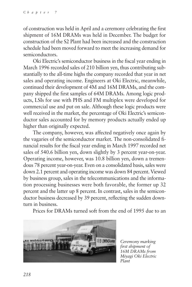of construction was held in April and a ceremony celebrating the first shipment of 16M DRAMs was held in December. The budget for construction of the S2 Plant had been increased and the construction schedule had been moved forward to meet the increasing demand for semiconductors.

Oki Electric's semiconductor business in the fiscal year ending in March 1996 recorded sales of 210 billion yen, thus contributing substantially to the all-time highs the company recorded that year in net sales and operating income. Engineers at Oki Electric, meanwhile, continued their development of 4M and 16M DRAMs, and the company shipped the first samples of 64M DRAMs. Among logic products, LSIs for use with PHS and FM multiplex were developed for commercial use and put on sale. Although these logic products were well received in the market, the percentage of Oki Electric's semiconductor sales accounted for by memory products actually ended up higher than originally expected.

The company, however, was affected negatively once again by the vagaries of the semiconductor market. The non-consolidated financial results for the fiscal year ending in March 1997 recorded net sales of 540.6 billion yen, down slightly by 3 percent year-on-year. Operating income, however, was 10.8 billion yen, down a tremendous 78 percent year-on-year. Even on a consolidated basis, sales were down 2.1 percent and operating income was down 84 percent. Viewed by business group, sales in the telecommunications and the information processing businesses were both favorable, the former up 32 percent and the latter up 8 percent. In contrast, sales in the semiconductor business decreased by 39 percent, reflecting the sudden downturn in business.

Prices for DRAMs turned soft from the end of 1995 due to an



*Ceremony marking first shipment of 16M DRAMs from Miyagi Oki Electric Plant*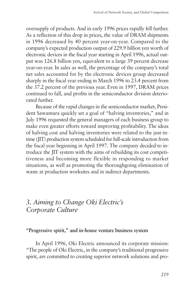oversupply of products. And in early 1996 prices rapidly fell further. As a reflection of this drop in prices, the value of DRAM shipments in 1996 decreased by 40 percent year-on-year. Compared to the company's expected production output of 229.9 billion yen worth of electronic devices in the fiscal year starting in April 1996, actual output was 126.8 billion yen, equivalent to a large 39 percent decrease year-on-year. In sales as well, the percentage of the company's total net sales accounted for by the electronic devices group decreased sharply in the fiscal year ending in March 1996 to 23.4 percent from the 37.2 percent of the previous year. Even in 1997, DRAM prices continued to fall, and profits in the semiconductor division deteriorated further.

Because of the rapid changes in the semiconductor market, President Sawamura quickly set a goal of "halving inventories," and in July 1996 requested the general managers of each business group to make even greater efforts toward improving profitability. The ideas of halving cost and halving inventories were related to the just-intime (JIT) production system scheduled for full-scale introduction from the fiscal year beginning in April 1997. The company decided to introduce the JIT system with the aims of rebuilding its cost competitiveness and becoming more flexible in responding to market situations, as well as promoting the thoroughgoing elimination of waste at production worksites and in indirect departments.

# *3. Aiming to Change Oki Electric's Corporate Culture*

#### **"Progressive spirit," and in-house venture business system**

In April 1996, Oki Electric announced its corporate mission: "The people of Oki Electric, in the company's traditional progressive spirit, are committed to creating superior network solutions and pro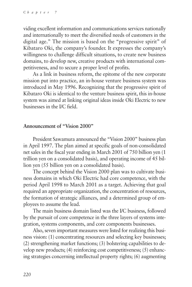viding excellent information and communications services nationally and internationally to meet the diversified needs of customers in the digital age." The mission is based on the "progressive spirit" of Kibataro Oki, the company's founder. It expresses the company's willingness to challenge difficult situations, to create new business domains, to develop new, creative products with international competitiveness, and to secure a proper level of profits.

As a link in business reform, the epitome of the new corporate mission put into practice, an in-house venture business system was introduced in May 1996. Recognizing that the progressive spirit of Kibataro Oki is identical to the venture business spirit, this in-house system was aimed at linking original ideas inside Oki Electric to new businesses in the I/C field.

#### **Announcement of "Vision 2000"**

President Sawamura announced the "Vision 2000" business plan in April 1997. The plan aimed at specific goals of non-consolidated net sales in the fiscal year ending in March 2001 of 750 billion yen (1 trillion yen on a consolidated basis), and operating income of 45 billion yen (55 billion yen on a consolidated basis).

The concept behind the Vision 2000 plan was to cultivate business domains in which Oki Electric had core competence, with the period April 1998 to March 2001 as a target. Achieving that goal required an appropriate organization, the concentration of resources, the formation of strategic alliances, and a determined group of employees to assume the lead.

The main business domain listed was the I/C business, followed by the pursuit of core competence in the three layers of systems integration, systems components, and core components businesses.

Also, seven important measures were listed for realizing this business vision: (1) concentrating resources and selecting key businesses; (2) strengthening market functions; (3) bolstering capabilities to develop new products; (4) reinforcing cost competitiveness; (5) enhancing strategies concerning intellectual property rights; (6) augmenting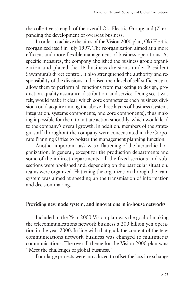the collective strength of the overall Oki Electric Group; and (7) expanding the development of overseas business.

In order to achieve the aims of the Vision 2000 plan, Oki Electric reorganized itself in July 1997. The reorganization aimed at a more efficient and more flexible management of business operations. As specific measures, the company abolished the business group organization and placed the 16 business divisions under President Sawamura's direct control. It also strengthened the authority and responsibility of the divisions and raised their level of self-sufficiency to allow them to perform all functions from marketing to design, production, quality assurance, distribution, and service. Doing so, it was felt, would make it clear which core competence each business division could acquire among the above three layers of business (systems integration, systems components, and core components), thus making it possible for them to initiate action smoothly, which would lead to the company's overall growth. In addition, members of the strategic staff throughout the company were concentrated in the Corporate Planning Office to bolster the management planning function.

Another important task was a flattening of the hierarchical organization. In general, except for the production departments and some of the indirect departments, all the fixed sections and subsections were abolished and, depending on the particular situation, teams were organized. Flattening the organization through the team system was aimed at speeding up the transmission of information and decision-making.

#### **Providing new node system, and innovations in in-house networks**

Included in the Year 2000 Vision plan was the goal of making the telecommunications network business a 200 billion yen operation in the year 2000. In line with that goal, the content of the telecommunications network business was changed to multimedia communications. The overall theme for the Vision 2000 plan was: "Meet the challenges of global business."

Four large projects were introduced to offset the loss in exchange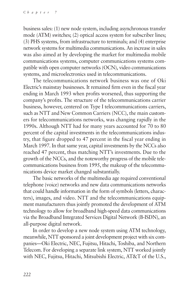business sales: (1) new node system, including asynchronous transfer mode (ATM) switches; (2) optical access system for subscriber lines; (3) PHS systems, from infrastructure to terminals; and (4) enterprise network systems for multimedia communications. An increase in sales was also aimed at by developing the market for multimedia mobile communications systems, computer communications systems compatible with open computer networks (OCN), video communications systems, and microelectronics used in telecommunications.

The telecommunications network business was one of Oki Electric's mainstay businesses. It remained firm even in the fiscal year ending in March 1993 when profits worsened, thus supporting the company's profits. The structure of the telecommunications carrier business, however, centered on Type I telecommunications carriers, such as NTT and New Common Carriers (NCC), the main customers for telecommunications networks, was changing rapidly in the 1990s. Although NTT had for many years accounted for 70 to 80 percent of the capital investments in the telecommunications industry, that figure dropped to 47 percent in the fiscal year ending in March 1997. In that same year, capital investments by the NCCs also reached 47 percent, thus matching NTT's investments. Due to the growth of the NCCs, and the noteworthy progress of the mobile telecommunications business from 1995, the makeup of the telecommunications device market changed substantially.

The basic networks of the multimedia age required conventional telephone (voice) networks and new data communications networks that could handle information in the form of symbols (letters, characters), images, and video. NTT and the telecommunications equipment manufacturers thus jointly promoted the development of ATM technology to allow for broadband high-speed data communications via the Broadband Integrated Services Digital Network (B-ISDN), an all-purpose digital network.

In order to develop a new node system using ATM technology, meanwhile, NTT sponsored a joint development project with six companies—Oki Electric, NEC, Fujitsu, Hitachi, Toshiba, and Northern Telecom. For developing a separate link system, NTT worked jointly with NEC, Fujitsu, Hitachi, Mitsubishi Electric, AT&T of the U.S.,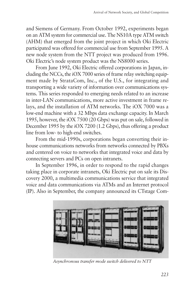and Siemens of Germany. From October 1992, experiments began on an ATM system for commercial use. The NS10A type ATM switch (AHM) that emerged from the joint project in which Oki Electric participated was offered for commercial use from September 1995. A new node system from the NTT project was produced from 1996. Oki Electric's node system product was the NS8000 series.

From June 1992, Oki Electric offered corporations in Japan, including the NCCs, the iOX 7000 series of frame relay switching equipment made by StrataCom, Inc., of the U.S., for integrating and transporting a wide variety of information over communications systems. This series responded to emerging needs related to an increase in inter-LAN communications, more active investment in frame relays, and the installation of ATM networks. The iOX 7000 was a low-end machine with a 32 Mbps data exchange capacity. In March 1995, however, the iOX 7500 (20 Gbps) was put on sale, followed in December 1995 by the iOX 7200 (1.2 Gbps), thus offering a product line from low- to high-end switches.

From the mid-1990s, corporations began converting their inhouse communications networks from networks connected by PBXs and centered on voice to networks that integrated voice and data by connecting servers and PCs on open intranets.

In September 1996, in order to respond to the rapid changes taking place in corporate intranets, Oki Electric put on sale its Discovery 2000, a multimedia communications service that integrated voice and data communications via ATMs and an Internet protocol (IP). Also in September, the company announced its CTstage Com-



*Asynchronous transfer mode switch delivered to NTT*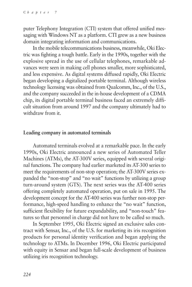puter Telephony Integration (CTI) system that offered unified messaging with Windows NT as a platform. CTI grew as a new business domain integrating information and communications.

In the mobile telecommunications business, meanwhile, Oki Electric was fighting a tough battle. Early in the 1990s, together with the explosive spread in the use of cellular telephones, remarkable advances were seen in making cell phones smaller, more sophisticated, and less expensive. As digital systems diffused rapidly, Oki Electric began developing a digitalized portable terminal. Although wireless technology licensing was obtained from Qualcomm, Inc., of the U.S., and the company succeeded in the in-house development of a CDMA chip, its digital portable terminal business faced an extremely difficult situation from around 1997 and the company ultimately had to withdraw from it.

#### **Leading company in automated terminals**

Automated terminals evolved at a remarkable pace. In the early 1990s, Oki Electric announced a new series of Automated Teller Machines (ATMs), the AT-300V series, equipped with several original functions. The company had earlier marketed its AT-300 series to meet the requirements of non-stop operation; the AT-300V series expanded the "non-stop" and "no wait" functions by utilizing a group turn-around system (GTS). The next series was the AT-400 series offering completely automated operation, put on sale in 1995. The development concept for the AT-400 series was further non-stop performance, high-speed handling to enhance the "no wait" function, sufficient flexibility for future expandability, and "non-touch" features so that personnel in charge did not have to be called so much.

In September 1995, Oki Electric signed an exclusive sales contract with Sensar, Inc., of the U.S. for marketing its iris recognition products for personal identity verification and began applying the technology to ATMs. In December 1996, Oki Electric participated with equity in Sensar and began full-scale development of business utilizing iris recognition technology.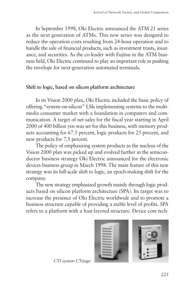In September 1998, Oki Electric announced the ATM 21 series as the next generation of ATMs. This new series was designed to reduce the operation costs resulting from 24-hour operation and to handle the sale of financial products, such as investment trusts, insurance, and securities. As the co-leader with Fujitsu in the ATM business field, Oki Electric continued to play an important role in pushing the envelope for next-generation automated terminals.

# **Shift to logic, based on silicon platform architecture**

In its Vision 2000 plan, Oki Electric included the basic policy of offering "system-on-silicon" LSIs implementing systems to the multimedia consumer market with a foundation in computers and communication. A target of net sales for the fiscal year starting in April 2000 of 400 billion yen was set for this business, with memory products accounting for 67.5 percent, logic products for 25 percent, and new products for 7.5 percent.

The policy of emphasizing system products as the nucleus of the Vision 2000 plan was picked up and evolved further in the semiconductor business strategy Oki Electric announced for the electronic devices business group in March 1998. The main feature of this new strategy was its full-scale shift to logic, an epoch-making shift for the company.

The new strategy emphasized growth mainly through logic products based on silicon platform architecture (SPA). Its target was to increase the presence of Oki Electric worldwide and to promote a business structure capable of providing a stable level of profits. SPA refers to a platform with a four-layered structure. Device core tech-



*CTI system CTstage*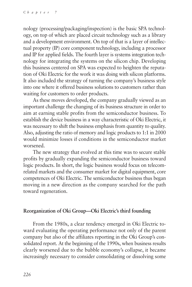nology (processing/packaging/inspection) is the basic SPA technology, on top of which are placed circuit technology such as a library and a development environment. On top of that is a layer of intellectual property (IP) core component technology, including a processor and IP for applied fields. The fourth layer is systems integration technology for integrating the systems on the silicon chip. Developing this business centered on SPA was expected to heighten the reputation of Oki Electric for the work it was doing with silicon platforms. It also included the strategy of turning the company's business style into one where it offered business solutions to customers rather than waiting for customers to order products.

As these moves developed, the company gradually viewed as an important challenge the changing of its business structure in order to aim at earning stable profits from the semiconductor business. To establish the device business in a way characteristic of Oki Electric, it was necessary to shift the business emphasis from quantity to quality. Also, adjusting the ratio of memory and logic products to 1:1 in 2000 would minimize losses if conditions in the semiconductor market worsened.

The new strategy that evolved at this time was to secure stable profits by gradually expanding the semiconductor business toward logic products. In short, the logic business would focus on telecomrelated markets and the consumer market for digital equipment, core competences of Oki Electric. The semiconductor business thus began moving in a new direction as the company searched for the path toward regeneration.

### **Reorganization of Oki Group—Oki Electric's third founding**

From the 1980s, a clear tendency emerged in Oki Electric toward evaluating the operating performance not only of the parent company but also of the affiliates reporting in the Oki Group's consolidated report. At the beginning of the 1990s, when business results clearly worsened due to the bubble economy's collapse, it became increasingly necessary to consider consolidating or dissolving some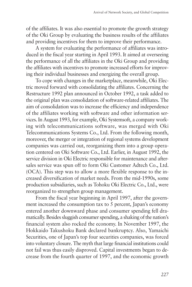of the affiliates. It was also essential to promote the growth strategy of the Oki Group by evaluating the business results of the affiliates and providing incentives for them to improve their performance.

A system for evaluating the performance of affiliates was introduced in the fiscal year starting in April 1993. It aimed at overseeing the performance of all the affiliates in the Oki Group and providing the affiliates with incentives to promote increased efforts for improving their individual businesses and energizing the overall group.

To cope with changes in the marketplace, meanwhile, Oki Electric moved forward with consolidating the affiliates. Concerning the Restructure 1992 plan announced in October 1992, a task added to the original plan was consolidation of software-related affiliates. The aim of consolidation was to increase the efficiency and independence of the affiliates working with software and other information services. In August 1993, for example, Oki Systemsoft, a company working with telecommunications software, was merged with Oki Telecommunications Systems Co., Ltd. From the following month, moreover, the merger or integration of regional systems development companies was carried out, reorganizing them into a group operation centered on Oki Software Co., Ltd. Earlier, in August 1992, the service division in Oki Electric responsible for maintenance and aftersales service was spun off to form Oki Customer Adtech Co., Ltd. (OCA). This step was to allow a more flexible response to the increased diversification of market needs. From the mid-1990s, some production subsidiaries, such as Tohoku Oki Electric Co., Ltd., were reorganized to strengthen group management.

From the fiscal year beginning in April 1997, after the government increased the consumption tax to 5 percent, Japan's economy entered another downward phase and consumer spending fell dramatically. Besides sluggish consumer spending, a shaking of the nation's financial system also rocked the economy. In November 1997, the Hokkaido Takushoku Bank declared bankruptcy. Also, Yamaichi Securities, one of Japan's top four securities companies, was forced into voluntary closure. The myth that large financial institutions could not fail was thus easily disproved. Capital investments began to decrease from the fourth quarter of 1997, and the economic growth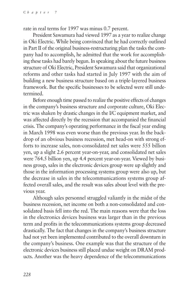rate in real terms for 1997 was minus 0.7 percent.

President Sawamura had viewed 1997 as a year to realize change in Oki Electric. While being convinced that he had correctly outlined in Part II of the original business-restructuring plan the tasks the company had to accomplish, he admitted that the work for accomplishing these tasks had barely begun. In speaking about the future business structure of Oki Electric, President Sawamura said that organizational reforms and other tasks had started in July 1997 with the aim of building a new business structure based on a triple-layered business framework. But the specific businesses to be selected were still undetermined.

Before enough time passed to realize the positive effects of changes in the company's business structure and corporate culture, Oki Electric was shaken by drastic changes in the I/C equipment market, and was affected directly by the recession that accompanied the financial crisis. The company's operating performance in the fiscal year ending in March 1998 was even worse than the previous year. In the backdrop of an obvious business recession, met head-on with strong efforts to increase sales, non-consolidated net sales were 555 billion yen, up a slight 2.6 percent year-on-year, and consolidated net sales were 764.5 billion yen, up 4.4 percent year-on-year. Viewed by business group, sales in the electronic devices group were up slightly and those in the information processing systems group were also up, but the decrease in sales in the telecommunications systems group affected overall sales, and the result was sales about level with the previous year.

Although sales personnel struggled valiantly in the midst of the business recession, net income on both a non-consolidated and consolidated basis fell into the red. The main reasons were that the loss in the electronics devices business was larger than in the previous term and profits in the telecommunications systems group decreased drastically. The fact that changes in the company's business structure had not yet been implemented contributed to the overall downturn in the company's business. One example was that the structure of the electronic devices business still placed undue weight on DRAM products. Another was the heavy dependence of the telecommunications